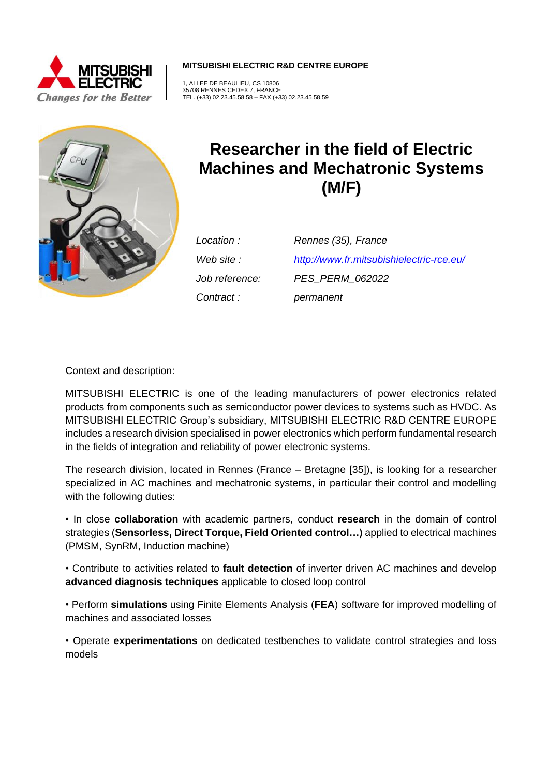

**MITSUBISHI ELECTRIC R&D CENTRE EUROPE**

1, ALLEE DE BEAULIEU, CS 10806 35708 RENNES CEDEX 7, FRANCE TEL. (+33) 02.23.45.58.58 – FAX (+33) 02.23.45.58.59



# **Researcher in the field of Electric Machines and Mechatronic Systems (M/F)**

*Contract : permanent*

*Location : Rennes (35), France Web site : <http://www.fr.mitsubishielectric-rce.eu/> Job reference: PES\_PERM\_062022*

## Context and description:

MITSUBISHI ELECTRIC is one of the leading manufacturers of power electronics related products from components such as semiconductor power devices to systems such as HVDC. As MITSUBISHI ELECTRIC Group's subsidiary, MITSUBISHI ELECTRIC R&D CENTRE EUROPE includes a research division specialised in power electronics which perform fundamental research in the fields of integration and reliability of power electronic systems.

The research division, located in Rennes (France – Bretagne [35]), is looking for a researcher specialized in AC machines and mechatronic systems, in particular their control and modelling with the following duties:

• In close **collaboration** with academic partners, conduct **research** in the domain of control strategies (**Sensorless, Direct Torque, Field Oriented control…)** applied to electrical machines (PMSM, SynRM, Induction machine)

• Contribute to activities related to **fault detection** of inverter driven AC machines and develop **advanced diagnosis techniques** applicable to closed loop control

• Perform **simulations** using Finite Elements Analysis (**FEA**) software for improved modelling of machines and associated losses

• Operate **experimentations** on dedicated testbenches to validate control strategies and loss models